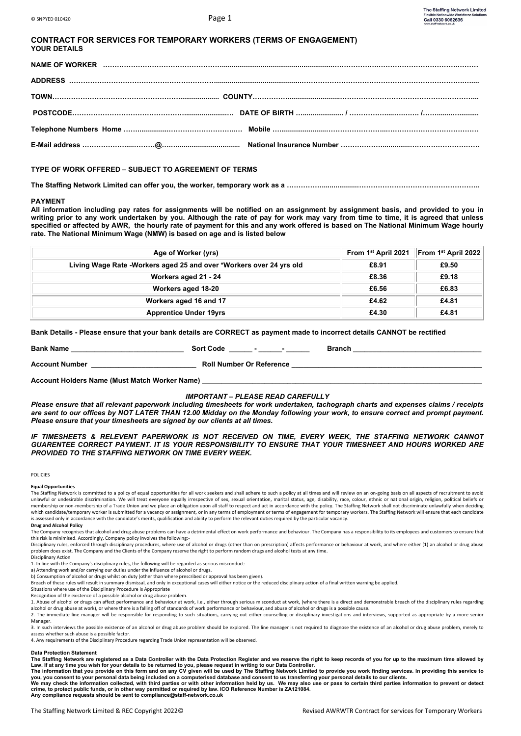| <b>CONTRACT FOR SERVICES FOR TEMPORARY WORKERS (TERMS OF ENGAGEMENT)</b> |  |
|--------------------------------------------------------------------------|--|
| <b>YOUR DETAILS</b>                                                      |  |

**TYPE OF WORK OFFERED – SUBJECT TO AGREEMENT OF TERMS**

**The Staffing Network Limited can offer you, the worker, temporary work as a ……………..................……………………………………………..**

#### **PAYMENT**

**All information including pay rates for assignments will be notified on an assignment by assignment basis, and provided to you in writing prior to any work undertaken by you. Although the rate of pay for work may vary from time to time, it is agreed that unless specified or affected by AWR, the hourly rate of payment for this and any work offered is based on The National Minimum Wage hourly rate. The National Minimum Wage (NMW) is based on age and is listed below**

| Age of Worker (yrs)                                                 | From $1^{st}$ April 2021 From $1^{st}$ April 2022 |       |
|---------------------------------------------------------------------|---------------------------------------------------|-------|
| Living Wage Rate -Workers aged 25 and over *Workers over 24 yrs old | £8.91                                             | £9.50 |
| Workers aged 21 - 24                                                | £8.36                                             | £9.18 |
| Workers aged 18-20                                                  | £6.56                                             | £6.83 |
| Workers aged 16 and 17                                              | £4.62                                             | £4.81 |
| <b>Apprentice Under 19yrs</b>                                       | £4.30                                             | £4.81 |

**Bank Details - Please ensure that your bank details are CORRECT as payment made to incorrect details CANNOT be rectified**

| <b>Bank Name</b>                              | <b>Sort Code</b>                | <b>Branch</b> |
|-----------------------------------------------|---------------------------------|---------------|
| Account Number                                | <b>Roll Number Or Reference</b> |               |
| Account Holders Name (Must Match Worker Name) |                                 |               |

### *IMPORTANT – PLEASE READ CAREFULLY*

*Please ensure that all relevant paperwork including timesheets for work undertaken, tachograph charts and expenses claims / receipts are sent to our offices by NOT LATER THAN 12.00 Midday on the Monday following your work, to ensure correct and prompt payment. Please ensure that your timesheets are signed by our clients at all times.*

*IF TIMESHEETS & RELEVENT PAPERWORK IS NOT RECEIVED ON TIME, EVERY WEEK, THE STAFFING NETWORK CANNOT GUARENTEE CORRECT PAYMENT. IT IS YOUR RESPONSIBILITY TO ENSURE THAT YOUR TIMESHEET AND HOURS WORKED ARE PROVIDED TO THE STAFFING NETWORK ON TIME EVERY WEEK.*

#### **POLICIES**

#### **Equal Opportunities**

The Staffing Network is committed to a policy of equal opportunities for all work seekers and shall adhere to such a policy at all times and will review on an on-going basis on all aspects of recruitment to avoid unlawful or undesirable discrimination. We will treat everyone equally irrespective of sex, sexual orientation, marital status, age, disability, race, colour, ethnic or national origin, religion, political beliefs or membership or non-membership of a Trade Union and we place an obligation upon all staff to respect and act in accordance with the policy. The Staffing Network shall not discriminate unlawfully when deciding which candidate/temporary worker is submitted for a vacancy or assignment, or in any terms of employment or terms of engagement for temporary workers. The Staffing Network will ensure that each candidate is assessed only in accordance with the candidate's merits, qualification and ability to perform the relevant duties required by the particular vacancy.

#### **Drug and Alcohol Policy**

The Company recognises that alcohol and drug abuse problems can have a detrimental effect on work performance and behaviour. The Company has a responsibility to its employees and customers to ensure that

this risk is minimised. Accordingly, Company policy involves the following:-<br>Disciplinary rules, enforced through disciplinary procedures, where use of alcohol or drugs (other than on prescription) affects performance or b problem does exist. The Company and the Clients of the Company reserve the right to perform random drugs and alcohol tests at any time.

Disciplinary Action

1. In line with the Company's disciplinary rules, the following will be regarded as serious miscond a) Attending work and/or carrying our duties under the influence of alcohol or drugs.

b) Consumption of alcohol or drugs whilst on duty (other than where prescribed or approval has been given).

Breach of these rules will result in summary dismissal, and only in exceptional cases will either notice or the reduced disciplinary action of a final written warning be applied.

Situations where use of the Disciplinary Procedure is Appropriate Recognition of the existence of a possible alcohol or drug abuse problem.

1. Abuse of alcohol or drugs can affect performance and behaviour at work, i.e., either through serious misconduct at work, (where there is a direct and demonstrable breach of the disciplinary rules regarding alcohol or drug abuse at work), or where there is a falling off of standards of work performance or behaviour, and abuse of alcohol or drugs is a possible cause.

2. The immediate line manager will be responsible for responding to such situations, carrying out either counselling or disciplinary investigations and interviews, supported as appropriate by a more senior Manager.

3. In such interviews the possible existence of an alcohol or drug abuse problem should be explored. The line manager is not required to diagnose the existence of an alcohol or drug abuse problem, merely to assess whether such abuse is a possible factor.

4. Any requirements of the Disciplinary Procedure regarding Trade Union representation will be observed.

#### **Data Protection Statement**

The Staffing Network are registered as a Data Controller with the Data Protection Register and we reserve the right to keep records of you for up to the maximum time allowed by<br>Law. If at any time you wish for your details

you, you consent to your personal data being included on a computerised database and consent to us transferring your personal details to our clients.<br>We may check the information collected, with third parties or with other **crime, to protect public funds, or in other way permitted or required by law. ICO Reference Number is ZA121084. Any compliance requests should be sent to compliance@staff-network.co.uk**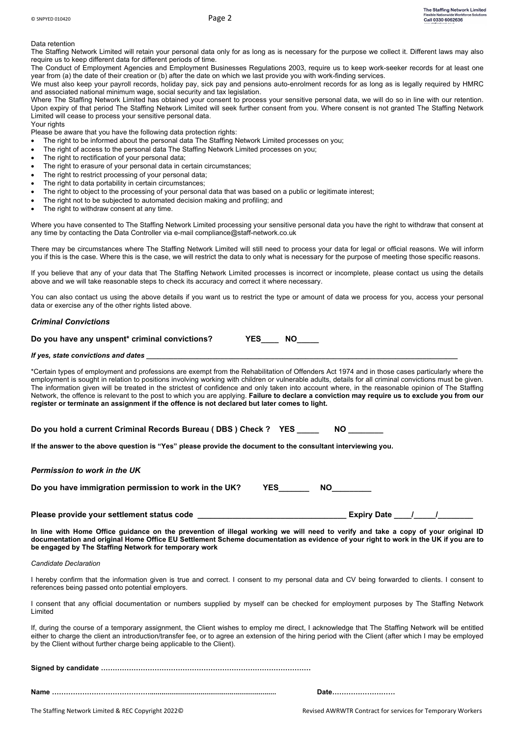Data retention

The Staffing Network Limited will retain your personal data only for as long as is necessary for the purpose we collect it. Different laws may also require us to keep different data for different periods of time.

The Conduct of Employment Agencies and Employment Businesses Regulations 2003, require us to keep work-seeker records for at least one year from (a) the date of their creation or (b) after the date on which we last provide you with work-finding services.

We must also keep your payroll records, holiday pay, sick pay and pensions auto-enrolment records for as long as is legally required by HMRC and associated national minimum wage, social security and tax legislation.

Where The Staffing Network Limited has obtained your consent to process your sensitive personal data, we will do so in line with our retention. Upon expiry of that period The Staffing Network Limited will seek further consent from you. Where consent is not granted The Staffing Network Limited will cease to process your sensitive personal data. Your rights

Please be aware that you have the following data protection rights:

- The right to be informed about the personal data The Staffing Network Limited processes on you;
- The right of access to the personal data The Staffing Network Limited processes on you;
- The right to rectification of your personal data:
- The right to erasure of your personal data in certain circumstances;
- The right to restrict processing of your personal data:
- The right to data portability in certain circumstances;
- The right to object to the processing of your personal data that was based on a public or legitimate interest;
- The right not to be subjected to automated decision making and profiling; and
- The right to withdraw consent at any time.

Where you have consented to The Staffing Network Limited processing your sensitive personal data you have the right to withdraw that consent at any time by contacting the Data Controller via e-mail compliance@staff-network.co.uk

There may be circumstances where The Staffing Network Limited will still need to process your data for legal or official reasons. We will inform you if this is the case. Where this is the case, we will restrict the data to only what is necessary for the purpose of meeting those specific reasons.

If you believe that any of your data that The Staffing Network Limited processes is incorrect or incomplete, please contact us using the details above and we will take reasonable steps to check its accuracy and correct it where necessary.

You can also contact us using the above details if you want us to restrict the type or amount of data we process for you, access your personal data or exercise any of the other rights listed above.

## *Criminal Convictions*

| Do you have any unspent* criminal convictions? |  | <b>YES</b> |  |
|------------------------------------------------|--|------------|--|
|                                                |  |            |  |

### *If yes, state convictions and dates*

\*Certain types of employment and professions are exempt from the Rehabilitation of Offenders Act 1974 and in those cases particularly where the employment is sought in relation to positions involving working with children or vulnerable adults, details for all criminal convictions must be given. The information given will be treated in the strictest of confidence and only taken into account where, in the reasonable opinion of The Staffing Network, the offence is relevant to the post to which you are applying. **Failure to declare a conviction may require us to exclude you from our register or terminate an assignment if the offence is not declared but later comes to light.**

**Do you hold a current Criminal Records Bureau ( DBS ) Check ? YES \_\_\_\_\_ NO \_\_\_\_\_\_\_\_**

**If the answer to the above question is "Yes" please provide the document to the consultant interviewing you.**

*Permission to work in the UK*

Do you have immigration permission to work in the UK? YES NO

# Please provide your settlement status code **example and the set of the set of the set of the set of the set of the set of the set of the set of the set of the set of the set of the set of the set of the set of the set of t**

**In line with Home Office guidance on the prevention of illegal working we will need to verify and take a copy of your original ID documentation and original Home Office EU Settlement Scheme documentation as evidence of your right to work in the UK if you are to be engaged by The Staffing Network for temporary work**

#### *Candidate Declaration*

I hereby confirm that the information given is true and correct. I consent to my personal data and CV being forwarded to clients. I consent to references being passed onto potential employers.

I consent that any official documentation or numbers supplied by myself can be checked for employment purposes by The Staffing Network Limited

If, during the course of a temporary assignment, the Client wishes to employ me direct, I acknowledge that The Staffing Network will be entitled either to charge the client an introduction/transfer fee, or to agree an extension of the hiring period with the Client (after which I may be employed by the Client without further charge being applicable to the Client).

**Signed by candidate ………………………………………………………………………………**

**Name ……………………………………................................................................. Date………………………**

The Staffing Network Limited & REC Copyright 2022© The States of Temporary Workers and Temporary Workers and Temporary Workers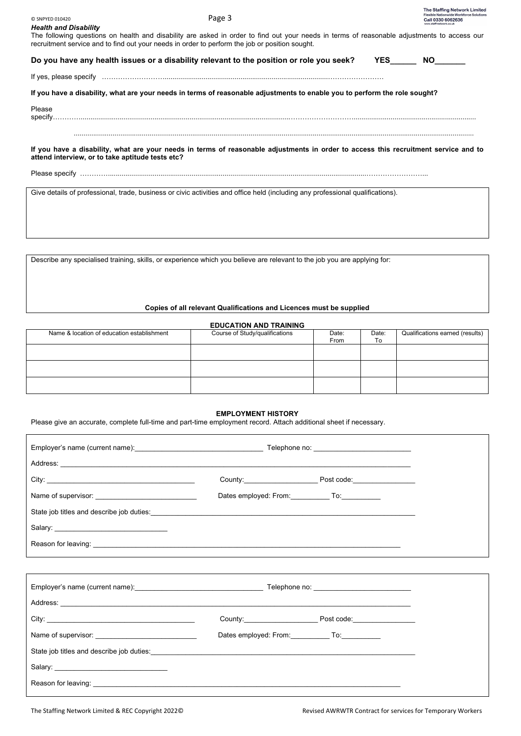| C SNPYED 010420<br><b>Health and Disability</b>                                                                                                                                                                                               | Page 3 |                   | The Staffing Network Limited<br><b>Flexible Nationwide Workforce Solutions</b><br>Call 0330 6062636<br>suu etaffinetwerk on ul |
|-----------------------------------------------------------------------------------------------------------------------------------------------------------------------------------------------------------------------------------------------|--------|-------------------|--------------------------------------------------------------------------------------------------------------------------------|
| The following questions on health and disability are asked in order to find out your needs in terms of reasonable adjustments to access our<br>recruitment service and to find out your needs in order to perform the job or position sought. |        |                   |                                                                                                                                |
| Do you have any health issues or a disability relevant to the position or role you seek?                                                                                                                                                      |        | $YES$ NO $\qquad$ |                                                                                                                                |
|                                                                                                                                                                                                                                               |        |                   |                                                                                                                                |
| If you have a disability, what are your needs in terms of reasonable adjustments to enable you to perform the role sought?                                                                                                                    |        |                   |                                                                                                                                |
| Please                                                                                                                                                                                                                                        |        |                   |                                                                                                                                |
| If you have a disability, what are your needs in terms of reasonable adjustments in order to access this recruitment service and to<br>attend interview, or to take aptitude tests etc?                                                       |        |                   |                                                                                                                                |
| Give details of professional, trade, business or civic activities and office held (including any professional qualifications).                                                                                                                |        |                   |                                                                                                                                |
|                                                                                                                                                                                                                                               |        |                   |                                                                                                                                |

Describe any specialised training, skills, or experience which you believe are relevant to the job you are applying for:

# **Copies of all relevant Qualifications and Licences must be supplied**

# **EDUCATION AND TRAINING**

| Name & location of education establishment | Course of Study/qualifications | Date:<br>From | Date:<br>Ιo | Qualifications earned (results) |
|--------------------------------------------|--------------------------------|---------------|-------------|---------------------------------|
|                                            |                                |               |             |                                 |
|                                            |                                |               |             |                                 |
|                                            |                                |               |             |                                 |

# **EMPLOYMENT HISTORY**

Please give an accurate, complete full-time and part-time employment record. Attach additional sheet if necessary.

| Dates employed: From: To:                             |  |
|-------------------------------------------------------|--|
|                                                       |  |
|                                                       |  |
|                                                       |  |
|                                                       |  |
|                                                       |  |
|                                                       |  |
|                                                       |  |
| Dates employed: From: ______________ To: ____________ |  |
|                                                       |  |
|                                                       |  |
|                                                       |  |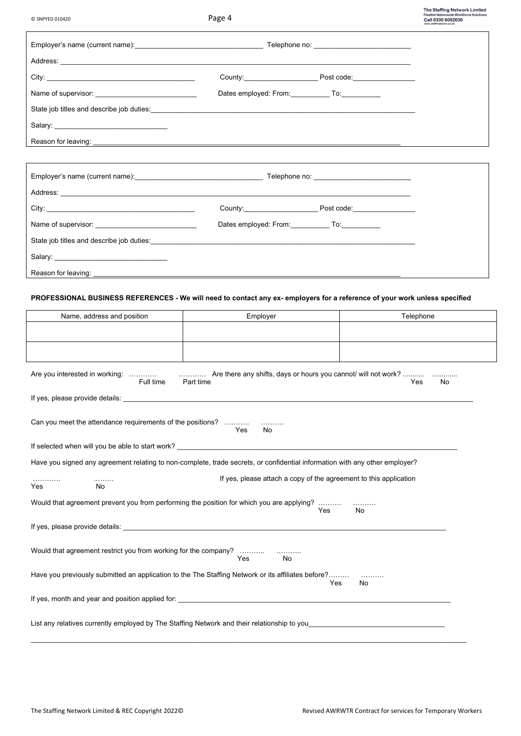© SNPYED 010420 Page 4

The Staffing Network Limited<br>Flexible Nationwide Workforce Solutions<br>Call 0330 6062636<br>www.staff.network.co.uk

٦

|                                                         |  | County: Post code:        |
|---------------------------------------------------------|--|---------------------------|
|                                                         |  | Dates employed: From: To: |
|                                                         |  |                           |
|                                                         |  |                           |
| Reason for leaving: ___________________________________ |  |                           |

| City:                                                  | County: the country of the country of the country of the country of the country of the country of the country of the country of the country of the country of the country of the country of the country of the country of the | Post code: _________________ |
|--------------------------------------------------------|-------------------------------------------------------------------------------------------------------------------------------------------------------------------------------------------------------------------------------|------------------------------|
|                                                        | Dates employed: From: To: To:                                                                                                                                                                                                 |                              |
|                                                        |                                                                                                                                                                                                                               |                              |
|                                                        |                                                                                                                                                                                                                               |                              |
| Reason for leaving: __________________________________ |                                                                                                                                                                                                                               |                              |

# **PROFESSIONAL BUSINESS REFERENCES - We will need to contact any ex- employers for a reference of your work unless specified**

| Name, address and position                                                                  | Employer                                                                                                                    | Telephone |
|---------------------------------------------------------------------------------------------|-----------------------------------------------------------------------------------------------------------------------------|-----------|
|                                                                                             |                                                                                                                             |           |
|                                                                                             |                                                                                                                             |           |
| Full time                                                                                   | Are you interested in working:   Are there any shifts, days or hours you cannot/ will not work?<br>Part time                | No<br>Yes |
|                                                                                             |                                                                                                                             |           |
| Can you meet the attendance requirements of the positions?                                  | Yes<br>No                                                                                                                   |           |
|                                                                                             | If selected when will you be able to start work? <u>example and the selected</u> when will you be able to start work?       |           |
|                                                                                             | Have you signed any agreement relating to non-complete, trade secrets, or confidential information with any other employer? |           |
| .<br><br>Yes<br>No                                                                          | If yes, please attach a copy of the agreement to this application                                                           |           |
|                                                                                             | Would that agreement prevent you from performing the position for which you are applying?<br>Yes                            | No        |
|                                                                                             |                                                                                                                             |           |
|                                                                                             | No<br>Yes                                                                                                                   |           |
|                                                                                             | Have you previously submitted an application to the The Staffing Network or its affiliates before?<br>Yes                   | No        |
|                                                                                             |                                                                                                                             |           |
| List any relatives currently employed by The Staffing Network and their relationship to you |                                                                                                                             |           |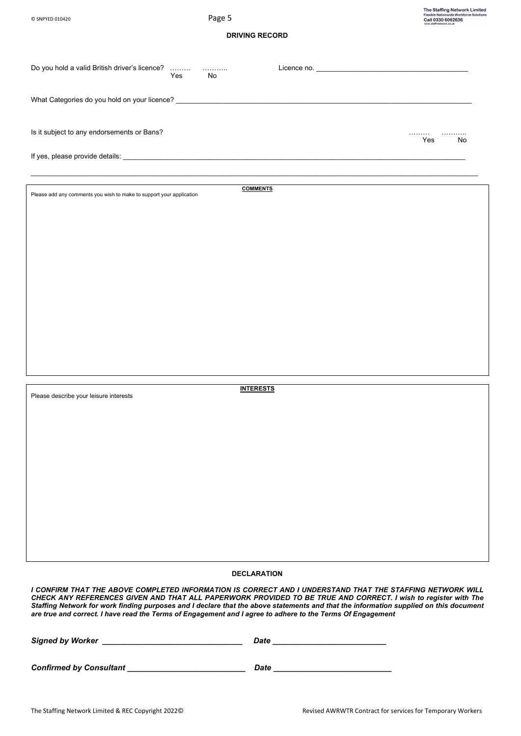**DRIVING RECORD**

| Do you hold a valid British driver's licence?                                                                                                                                                                              | Yes | No |                    |  |                     |
|----------------------------------------------------------------------------------------------------------------------------------------------------------------------------------------------------------------------------|-----|----|--------------------|--|---------------------|
|                                                                                                                                                                                                                            |     |    |                    |  |                     |
| Is it subject to any endorsements or Bans?                                                                                                                                                                                 |     |    |                    |  | .<br>.<br>Yes<br>No |
|                                                                                                                                                                                                                            |     |    |                    |  |                     |
| Please add any comments you wish to make to support your application                                                                                                                                                       |     |    | <b>COMMENTS</b>    |  |                     |
|                                                                                                                                                                                                                            |     |    |                    |  |                     |
|                                                                                                                                                                                                                            |     |    |                    |  |                     |
|                                                                                                                                                                                                                            |     |    |                    |  |                     |
|                                                                                                                                                                                                                            |     |    |                    |  |                     |
|                                                                                                                                                                                                                            |     |    |                    |  |                     |
|                                                                                                                                                                                                                            |     |    |                    |  |                     |
| Please describe your leisure interests                                                                                                                                                                                     |     |    | <b>INTERESTS</b>   |  |                     |
|                                                                                                                                                                                                                            |     |    |                    |  |                     |
|                                                                                                                                                                                                                            |     |    |                    |  |                     |
|                                                                                                                                                                                                                            |     |    |                    |  |                     |
|                                                                                                                                                                                                                            |     |    |                    |  |                     |
|                                                                                                                                                                                                                            |     |    |                    |  |                     |
|                                                                                                                                                                                                                            |     |    | <b>DECLARATION</b> |  |                     |
| I CONFIRM THAT THE ABOVE COMPLETED INFORMATION IS CORRECT AND I UNDERSTAND THAT THE STAFFING NETWORK WILL<br>CHECK ANY DEEEDENCES CIVEN AND THAT ALL DADEDWODK DDOVIDED TO BE TRUE AND CODDECT Lurish to register with The |     |    |                    |  |                     |

*CHECK ANY REFERENCES GIVEN AND THAT ALL PAPERWORK PROVIDED TO BE TRUE AND CORRECT. I wish to register with The Staffing Network for work finding purposes and I declare that the above statements and that the information supplied on this document are true and correct. I have read the Terms of Engagement and I agree to adhere to the Terms Of Engagement*

| <b>Signed by Worker</b>        | <b>Date</b> |  |  |
|--------------------------------|-------------|--|--|
|                                |             |  |  |
| <b>Confirmed by Consultant</b> | Date        |  |  |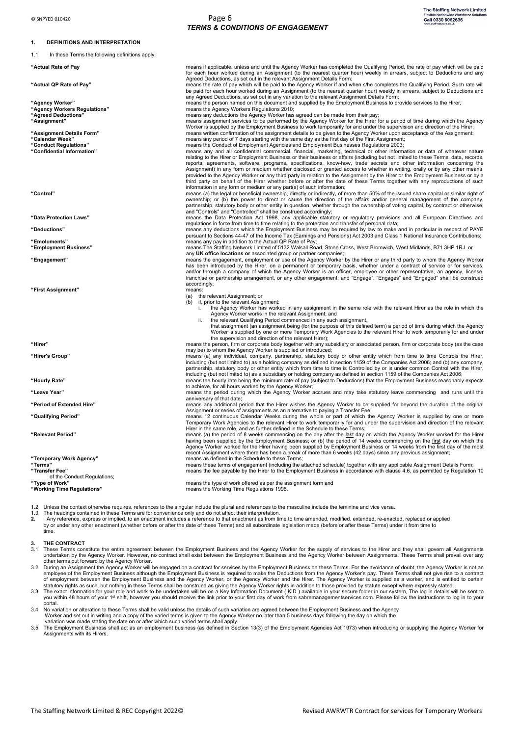#### **1. DEFINITIONS AND INTERPRETATION**

1.1. In these Terms the following definitions apply:

"First Assignment"

of the Conduct Regulations;<br>"Type of Work"

1.2. Unless the context otherwise requires, references to the singular include the plural and references to the masculine include the feminine and vice versa.<br>1.3. The headings contained in these Terms are for convenience

2. Any reference, express or implied, to an enactment includes a reference to that enactment as from time to time amended, modified, extended, re-enacted, replaced or applied<br>by or under any other enactment (whether before time.

#### **3. THE CONTRACT**

- 3.1. These Terms constitute the entire agreement between the Employment Business and the Agency Worker for the supply of services to the Hirer and they shall govern all Assignments<br>undertaken by the Agency Worker. However, other terms put forward by the Agency Worker.
- 3.2. During an Assignment the Agency Worker will be engaged on a contract for services by the Employment Business on these Terms. For the avoidance of doubt, the Agency Worker is not an employee of the Employment Business
- you within 48 hours of your 1st shift, however you should receive the link prior to your first day of work from sabremanagementservices.com. Please follow the instructions to log in to your portal.

3.4. No variation or alteration to these Terms shall be valid unless the details of such variation are agreed between the Employment Business and the Agency<br>Worker and set out in writing and a copy of the varied terms is g

3.5. The Employment Business shall act as an employment business (as defined in Section 13(3) of the Employment Agencies Act 1973) when introducing or supplying the Agency Worker for Assignments with its Hirers.

**"Actual Rate of Pay** means if applicable, unless and until the Agency Worker has completed the Qualifying Period, the rate of pay which will be paid for each hour worked during an Assignment (to the nearest quarter hour) weekly in arrears, subject to Deductions and any<br>Agreed Deductions, as set out in the relevant Assignment Details Form; "**Actual QP Rate of Pay"** means the rate of pay which will be paid to the Agency Worker if and when s/he completes the Qualifying Period. Such rate will be paid for each hour worked during an Assignment (to the nearest qua

any Agreed Deductions, as set out in any variation to the relevant Assignment Details Form;<br>means the person named on this document and supplied by the Employment Business to provide services to the Hirer;

**"Agency Workers Regulations"** means the Agency Workers Regulations 2010; **"Agreed Deductions"** means any deductions the Agency Worker has agreed can be made from their pay;

"Assignment"<br>"Assignment Details Form"<br>"Assignment Details Form" Worker is supplied by the Employment Business to work temporarily for and under the supervision and direction of the Hirer;<br>"Assignment Details Form" means w

**Confidential Information"** means any and all confidential commercial, financial, marketing, technical or other information or data of whatever nature<br>relating to the Hirer or Employment Business or their bus reports, agreements, software, programs, specifications, know-how, trade secrets and other information conceming the<br>Assignment) in any form or medium whether disclosed or granted access to whether in writing, orally or by third party on behalf of the Hirer whether before or after the date of these Terms together with any reproductions of such third party on behalf of the Hirer whether before or after the date of these Terms together with an

information in any form or medium or any part(s) of such information;<br>means (a) the legal or beneficial ownership, directly or indirectly, of more than 50% of the issued share capital or similar right of<br>ownership; or (b) partnership, statutory body or other entity in question, whether through the ownership of voting capital, by contract or otherwise,

and "Controlled" shall be construed accordingly;<br>means the Data Protection Act 1998, any applicably provisions and all European Directives and<br>regulations in force from time to time relating to the protection and transfer

Deductions" means any deductions which the Employment Business may be required by law to make and in particular in respect of PAYE<br>pursuant to Sections 44-47 of the Income Tax (Earnings and Pensions) A

**"Emoluments"** means any pay in addition to the Actual QP Rate of Pay; **"Employment Business"** means The Staffing Network Limited of 5132 Walsall Road, Stone Cross, West Bromwich, West Midlands, B71 3HP 1RJ or

any **UK office locations or** associated group or partner companies;<br>means the engagement, employment or use of the Agency Worker by the Hirer or any third party to whom the Agency Worker<br>has been introduced by the Hirer, o and/or through a company of which the Agency Worker is an officer, employee or other representative, an agency, license,<br>franchise or partnership arrangement, or any other engagement; and "Engage", "Engages" and "Engaged" nancines<br>accordingly;<br>means:

- (a) the relevant Assignment; or
- (b) if, prior to the relevant Assignment:<br>i the Agency Worker has work
	- i. the Agency Worker has worked in any assignment in the same role with the relevant Hirer as the role in which the Agency Worker works in the relevant Assignment; and
		-

ii. the relevant Qualifying Period commenced in any such assignment, that assignment (an assignment being (for the purpose of this defined term) a period of time during which the Agency Worker is supplied by one or more Temporary Work Agencies to the relevant Hirer to work temporarily for and under<br>the supervision and direction of the relevant Hirer);<br>means the person, firm or corporate body together with

may be) to whom the Agency Worker is supplied or introduced;<br>"**Hirer's Group**" means (a) any individual, company, partnership, statutory body or other entity which from time to time Controls the Hirer,

including (but not limited to) as a holding company as defined in section 1159 of the Companies Act 2006; and (b) any company,<br>partnership, statutory body or other entity which from time to time is Controlled by or is unde including (but not limited to) as a subsidiary or holding company as defined in section 1159 of the Companies Act 2006;<br>means the hourly rate being the minimum rate of pay (subject to Deductions) that the Employment Busine

to achieve, for all hours worked by the Agency Worker;<br>"Leave Year" means the period during which the Agency Worker accrues and may take statutory leave commencing and runs until the anniversary of that date;

"**Period of Extended Hire**" means any additional period that the Hirer wishes the Agency Worker to be supplied for beyond the duration of the original<br>Assignment or series of a state and the series of assig

Temporary Work Agencies to the relevant Hirer to work temporarily for and under the supervision and direction of the relevant<br>Hirer in the same role, and as further defined in the Schedule to these Terms;<br>means (a) the per recent Assignment where there has been a break of more than 6 weeks (42 days) since any previous assignment;<br>"**Temporary Work Agency**" means as defined in the Schedule to these Terms;

means these terms of engagement (including the attached schedule) together with any applicable Assignment Details Form;<br>"T**ransfer Fee**" means the fee payable by the Hirer to the Employment Business in a

**"Type of Work"** means the type of work offered as per the assignment form and **"Working Time Regulations"** means the Working Time Regulations 1998.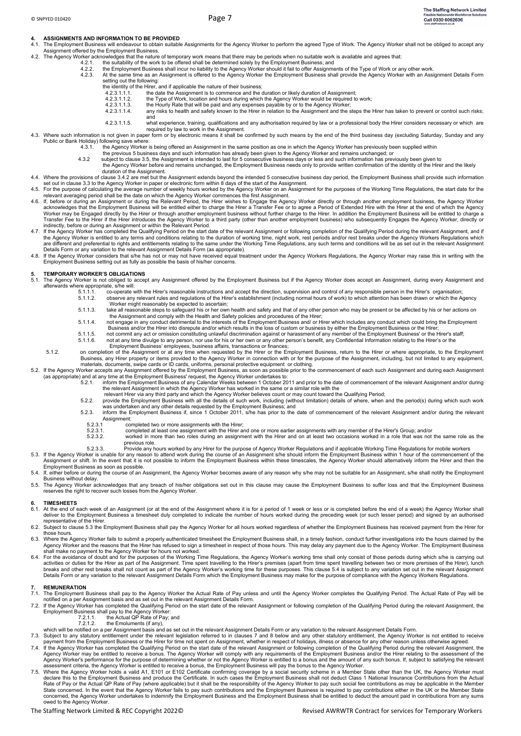- **4. ASSIGNMENTS AND INFORMATION TO BE PROVIDED**<br>4.1. The Employment Business will endeavour to obtain suitable Assignments for the Agency Worker to perform the agreed Type of Work. The Agency Worker shall not be obliged to Assignment offered by the Employment Business. 4.2. The Agency Worker acknowledges that the nature of temporary work means that there may be periods when no suitable work is available and agrees that:
	-
	-
	- 4.2.1. the suitability of the work to be offered shall be determined solely by the Employment Business; and<br>4.2.2. the Employment Business shall incur no liability to the Agency Worker should it fail to offer Assignment setting out the following:
		- - the identity of the Hirer, and if applicable the nature of their business<br>4.2.3.1.1.1. the date the Assignment is to commence and the 4.2.3.1.1.1. the date the Assignment is to commence and the duration or likely duration of Assignment;<br>4.2.3.1.1.1. the Type of Work. location and hours during which the Agency Worker would be required to
				-
				-
			- 4.2.3.1.1.2. the Type of Work, location and hours during which the Agency Worker would be required to work;<br>4.2.3.1.1.3. the Hourly Rate that will be paid and any expenses payable by or to the Agency Worker;<br>4.2.3.1.1.4. and
				-
- 4.2.3.1.1.5. what experience, training, qualifications and any authorisation required by law or a professional body the Hirer considers necessary or which are<br>4.3. Where such information is not given in paper form or by
	- Public or Bank Holiday) following save where: 4.3.1. the Agency Worker is being offered an Assignment in the same position as one in which the Agency Worker has previously been supplied within
		-
	- the previous 5 business days and such information has already been given to the Agency Worker and remains unchanged; or<br>4.3.2 subject to clause 3.5, the Assignment is intended to last for 5 consecutive business days or les the Agency Worker before and remains unchanged, the Employment Business needs only to provide written confirmation of the identity of the Hirer and the likely
		- duration of the Assignment.
- 4.4. Where the provisions of clause 3.4.2 are met but the Assignment extends beyond the intended 5 consecutive business day period, the Employment Business shall provide such information<br>set out in clause 3.3 to the Agency
- 
- <span id="page-6-0"></span>relevant averaging period shall be the date on which the Agency Worker commences the first Assignment.<br>4.6. If, before or during an Assignment or during the Relevant Period, the Hirer wishes to Engage the Agency Worker dir acknowledges that the Employment Business will be entitled either to charge the Hirer a Transfer Fee or to agree a Period of Extended Hire with the Hirer at the end of which the Agency<br>Worker may be Engaged directly by the Transfer Fee to the Hirer if the Hirer introduces the Agency Worker to a third party (other than another employment business) who subsequently Engages the Agency Worker, directly or<br>indirectly, before or during an Assignme
- 4.7. If the Agency Worker has completed the Qualifying Period on the start date of the relevant Assignment or following completion of the Qualifying Period during the relevant Assignment, and if the Agency Worker is entitled to any terms and conditions relating to the duration of working time, night work, rest periods and/or rest breaks under the Agency Workers Regulations which<br>are different and preferential to r
- Employment Business setting out as fully as possible the basis of his/her concerns.

#### **5. TEMPORARY WORKER'S OBLIGATIONS**

- 5.1. The Agency Worker is not obliged to accept any Assignment offered by the Employment Business but if the Agency Worker does accept an Assignment, during every Assignment and afterwards where appropriate, s/he will:
	- or out-prison stare with the Hirer's reasonable instructions and accept the direction, supervision and control of any responsible person in the Hirer's organisation<br>5.1.1.2. observe any relevant rules and requlations of th 5.1.1.2. observe any relevant rules and regulations of the Hirer's establishment (including normal hours of work) to which attention has been drawn or which the Agency
	- Worker might reasonably be expected to ascertain;
	- 5.1.1.3. take all reasonable steps to safeguard his or her own health and safety and that of any other person who may be present or be affected by his or her actions on<br>the Assignment and comply with the Health and Safety
	- Business and/or the Hirer into disrepute and/or which results in the loss of custom or business by either the Employment Business or the Hirer; 5.1.1.5. not commit any act or omission constituting unlawful discrimination against or harassment of any member of the Employment Business' or the Hirer's staff;<br>5.1.1.6. not at any time divulge to any person, nor use for
	- 5.1.1.6. not at any time divulge to any person, nor use for his or her own or any other person's benefit, any Confidential Information relating to the Hirer's or the<br>Employment Business' employees, business affairs, transa
- 5.1.2. on completion of the Assignment or at any time when requested by the Hirer or the Employment Business, return to the Hirer or where appropriate, to the Employment Business, any Hirer property or items provided to the Agency Worker in connection with or for the purpose of the Assignment, including, but not limited to any equipment, materials, documents, swipe cards or ID cards, uniforms, personal protective equipment or clothing.<br>5.2. If the Agency Worker accepts any Assignment offered by the Employment Business, as soon as possible prior to the com
- (as appropriate) and at any time at the Employment Business' request, the Agency Worker undertakes to:<br>5.2.1. inform the Employment Business of any Calendar Weeks between 1 October 2011 and prior to the date of comme
	- -
- the relevant Assignment in which the Agency Worker has worked in the same or a similar role with the<br>relevant Hirer via any third party and which the Agency Worker believes count or may count toward the Qualifying Period;<br>
	- Assignment:<br>5.2.3.1 cor 5.2.3.1 completed two or more assignments with the Hirer;<br>5.2.3.1 completed at least one assignment with the Hirer a
		-
	- 5.2.3.1. completed at least one assignment with the Hirer and one or more earlier assignments with any member of the Hirer's Group; and/or<br>5.2.3.2. worked in more than two roles during an assignment w previous role.
	- Provide any hours worked by any Hirer for the purpose of Agency Worker Regulations and if applicable Working Time Regulations for mobile workers
	-
- 5.3. If the Agency Worker is unable for any reason to attend work during the course of an Assignment s/he should inform the Employment Business within 1 hour of the commencement of the Agency Worker should alternatively in
- 5.4. If, either before or during the course of an Assignment, the Agency Worker becomes aware of any reason why s/he may not be suitable for an Assignment, s/he shall notify the Employment Business without delay.
- 5.5. The Agency Worker acknowledges that any breach of his/her obligations set out in this clause may cause the Employment Business to suffer loss and that the Employment Business<br>reserves the right to recover such losses

#### **6. TIMESHEETS**

- 6.1. At the end of each week of an Assignment (or at the end of the Assignment where it is for a period of 1 week or less or is completed before the end of a week) the Agency Worker shall<br>deliver to the Employment Business representative of the Hirer.
- 6.2. Subject to clause 5.3 the Employment Business shall pay the Agency Worker for all hours worked regardless of whether the Employment Business has received payment from the Hirer for those hours.
- 6.3. Where the Agency Worker fails to submit a properly authenticated timesheet the Employment Business shall, in a timely fashion, conduct further investigations into the hours claimed by the Agency Worker and the reasons that the Hirer has refused to sign a timesheet in respect of those hours. This may delay any payment due to the Agency Worker. The Employment Business
- shall make no payment to the Agency Worker for hours not worked.<br>6.4. For the avoidance of doubt and for the purposes of the Working Time Regulations, the Agency Worker's working time shall only consist of those periods du activities or duties for the Hirer as part of the Assignment. Time spent travelling to the Hirer's premises (apart from time spent travelling between two or more premises of the Hirer), lunch<br>breaks and other rest breaks s Details Form or any variation to the relevant Assignment Details Form which the Employment Business may make for the purpose of compliance with the Agency Workers Regulations.

# **7. REMUNERATION**

- The Employment Business shall pay to the Agency Worker the Actual Rate of Pay unless and until the Agency Worker completes the Qualifying Period. The Actual Rate of Pay will be notified on a per Assignment basis and as set out in the relevant Assignment Details Form.
- 7.2. If the Agency Worker has completed the Qualifying Period on the start date of the relevant Assignment or following completion of the Qualifying Period during the relevant Assignment, the Employment Business shall pay
	-
	- $7.2.1.1.$  the Actual  $\alpha_1$  Rate of F
- which will be notified on a per Assignment basis and as set out in the relevant Assignment Details Form or any variation to the relevant Assignment Details Form.<br>7.3. Subject to any statutory entitlement under the relevan
- . payment from the Employment Business or the Hirer for time not spent on Assignment, whether in respect of holidays, illness or absence for any other reason unless otherwise agreed.<br>7.4. If the Agency Worker has completed
- Agency Worker may be entitled to receive a bonus. The Agency Worker will comply with any requirements of the Employment Business and/or the Hirer relating to the assessment of the Agency Worker's performance for the purpos
- Rate of Pay or the Actual QP Rate of Pay (where applicable) but it shall be the responsibility of the Agency Worker to pay such social fee contributions as may be applicable in the Member<br>State concerned. In the event that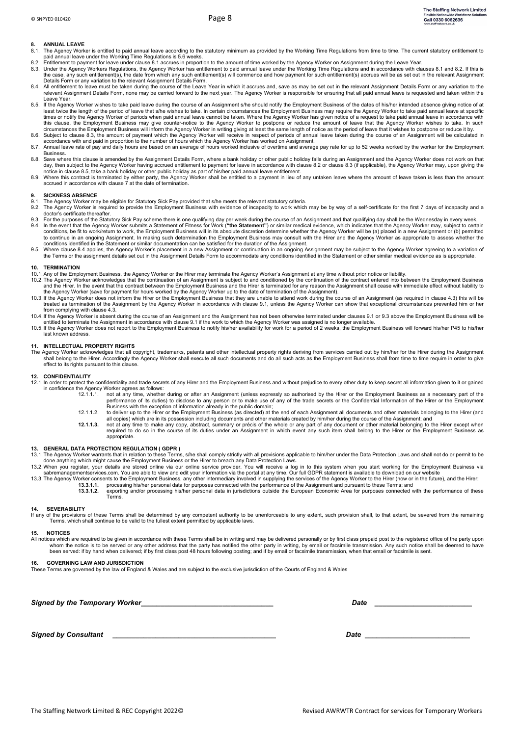#### **8. ANNUAL LEAVE**

- <span id="page-7-0"></span>8.1. The Agency Worker is entitled to paid annual leave according to the statutory minimum as provided by the Working Time Regulations from time to time. The current statutory entitlement to<br>paid annual leave under the Wor
- <span id="page-7-1"></span>8.2. Entitlement to payment for leave under claus[e 8.1](#page-7-0) accrues in proportion to the amount of time worked by the Agency Worker on Assignment during the Leave Year.<br>8.3. Under the Agency Workers Regulations, the Agency Wor
- <span id="page-7-2"></span>the case, any such entitlement(s), the date from which any such entitlement(s) will commence and how payment for such entitlement(s) accrues will be as set out in the relevant Assignment<br>Details Form or any variation to th
- 8.4. All entitlement to leave must be taken during the course of the Leave Year in which it accrues and, save as may be set out in the relevant Assignment Details Form or any variation to the relevant Assignment Details Form, none may be carried forward to the next year. The Agency Worker is responsible for ensuring that all paid annual leave is requested and taken within the Leave Year.
- <span id="page-7-3"></span>8.5. If the Agency Worker wishes to take paid leave during the course of an Assignment s/he should notify the Employment Business of the dates of his/her intended absence giving notice of at<br>least twice the length of the p times or notify the Agency Worker of periods when paid annual leave cannot be taken. Where the Agency Worker has given notice of a request to take paid annual leave in accordance with this clause, the Employment Business may give counter-notice to the Agency Worker to postpone or reduce the amount of leave that the Agency Worker wishes to take. In such
- circumstances the Employment Business will inform the Agency Worker in writing giving at least the same length of notice as the period of leave that it wishes to postpone or reduce it by.<br>8.6. Subject to clause [8.3,](#page-7-2) the a
- accountative with any product with the method on an average of hours worked inclusive of overtime and average pay rate for up to 52 weeks worked by the worker for the Employment by the worked by the worker for the Employme Business.
- 8.8. Save where this clause is amended by the Assignment Details Form, where a bank holiday or other public holiday falls during an Assignment and the Agency Worker does not work on that<br>day, then subject to the Agency Wor
- 8.9. Where this contract is terminated by either party, the Agency Worker shall be entitled to a payment in lieu of any untaken leave where the amount of leave taken is less than the amount<br>accrued in accordance with claus

#### **9. SICKNESS ABSENCE**

- 9.1. The Agency Worker may be eligible for Statutory Sick Pay provided that s/he meets the relevant statutory criteria.
- 9.2. The Agency Worker is required to provide the Employment Business with evidence of incapacity to work which may be by way of a self-certificate for the first 7 days of incapacity and a doctor's certificate thereafter.
- 9.3. For the purposes of the Statutory Sick Pay scheme there is one qualifying day per week during the course of an Assignment and that qualifying day shall be the Wednesday in every week.<br>9.4. In the event that the Agency to continue in an ongoing Assignment. In making such determination the Employment Business may consult with the Hirer and the Agency Worker as appropriate to assess whether the conditions identified in the Statement or similar documentation can be satisfied for the duration of the Assignment.
- 9.5. Where clause 8.4 applies, the Agency Worker's placement in a new Assignment or continuation in an ongoing Assignment may be subject to the Agency Worker agreeing to a variation of<br>the Terms or the assignment details s

#### **10. TERMINATION**

- 10.1. Any of the Employment Business, the Agency Worker or the Hirer may terminate the Agency Worker's Assignment at any time without prior notice or liability.<br>10.2. The Agency Worker acknowledges that the continuation of
- 10.3.If the Agency Worker does not inform the Hirer or the Employment Business that they are unable to attend work during the course of an Assignment (as required in clause 4.3) this will be كtreated as termination of the from complying with clause 4.3.
- 10.4. If the Agency Worker is absent during the course of an Assignment and the Assignment has not been otherwise terminated under clauses 9.1 or 9.3 above the Employment Business will be<br>entitled to terminate the Assignme
- 10.5. If the Agency Worker does not report to the Employment Business to notify his/her availability for work for a period of 2 weeks, the Employment Business will forward his/her P45 to his/her last known address.

#### **11. INTELLECTUAL PROPERTY RIGHTS**

The Agency Worker acknowledges that all copyright, trademarks, patents and other intellectual property rights deriving from services carried out by him/her for the Hirer during the Assignment Shall belong to the Hirer. Acc effect to its rights pursuant to this clause.

#### **12. CONFIDENTIALITY**

- 12.1. In order to protect the confidentiality and trade secrets of any Hirer and the Employment Business and without prejudice to every other duty to keep secret all information given to it or gained in confidence the Agency Worker agrees as follows:<br>12.1.1.1. not at any time. whether
	- 12.1.1.1. not at any time, whether during or after an Assignment (unless expressly so authorised by the Hirer or the Employment Business as a necessary part of the performance of its duties) to disclose to any person or to
	- all copies) which are in its possession including documents and other materials created by him/her during the course of the Assignment; and<br>**12.1.1.3.** not at any time to make any copy, abstract, summary or précis of t
	- required to do so in the course of its duties under an Assignment in which event any such item shall belong to the Hirer or the Employment Business as appropriate.

#### **13. GENERAL DATA PROTECTION REGULATION ( GDPR )**

- 13.1.The Agency Worker warrants that in relation to these Terms, s/he shall comply strictly with all provisions applicable to him/her under the Data Protection Laws and shall not do or permit to be<br>done anything which migh
- 
- 13.3.The Agency Worker consents to the Employment Business, any other intermediary involved in supplying the services of the Agency Worker to the Hirer (now or in the future), and the Hirer:<br>13.3.1.1. processing his/her pe
	- Terms.

#### **14. SEVERABILITY**

If any of the provisions of these Terms shall be determined by any competent authority to be unenforceable to any extent, such provision shall, to that extent, be severed from the remaining Terms, which shall continue to be valid to the fullest extent permitted by applicable laws.

#### **15. NOTICES**

All notices which are required to be given in accordance with these Terms shall be in writing and may be delivered personally or by first class prepaid post to the registered office of the party upon whom the notice is to

#### **16. GOVERNING LAW AND JURISDICTION**

These Terms are governed by the law of England & Wales and are subject to the exclusive jurisdiction of the Courts of England & Wales

Signed by the Temporary Worker **by the Superintensity of the Superintensity of the set of the set of the set of the set of the set of the set of the set of the set of the set of the set of the set of the set of the set of** 

*Signed by Consultant*  $\blacksquare$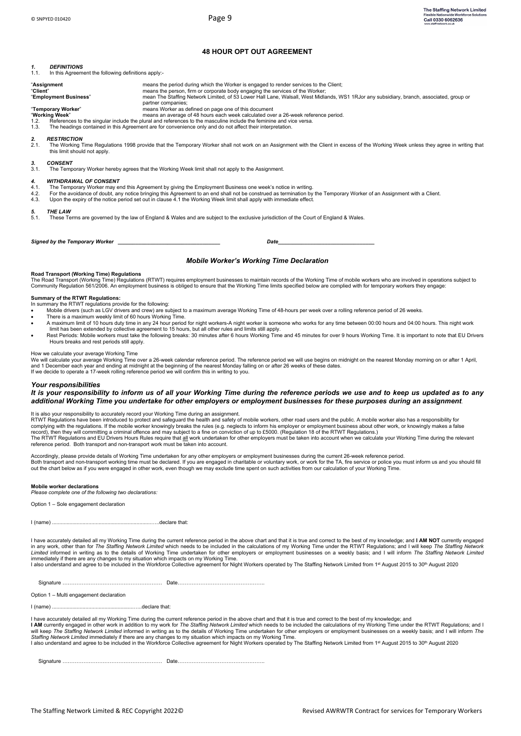# **48 HOUR OPT OUT AGREEMENT**

# *1. DEFINITIONS*

In this Agreement the following definitions apply-

| "Assignment<br>"Client"<br>"Employment Business"     |                                                                                                                                                                                                                                                                                                                                                                                                                                               | means the period during which the Worker is engaged to render services to the Client;<br>means the person, firm or corporate body engaging the services of the Worker;<br>mean The Staffing Network Limited, of 53 Lower Hall Lane, Walsall, West Midlands, WS1 1RJor any subsidiary, branch, associated, group or<br>partner companies;                                      |  |  |  |  |
|------------------------------------------------------|-----------------------------------------------------------------------------------------------------------------------------------------------------------------------------------------------------------------------------------------------------------------------------------------------------------------------------------------------------------------------------------------------------------------------------------------------|-------------------------------------------------------------------------------------------------------------------------------------------------------------------------------------------------------------------------------------------------------------------------------------------------------------------------------------------------------------------------------|--|--|--|--|
| "Temporary Worker"<br>"Working Week"<br>1.2.<br>1.3. |                                                                                                                                                                                                                                                                                                                                                                                                                                               | means Worker as defined on page one of this document<br>means an average of 48 hours each week calculated over a 26-week reference period.<br>References to the singular include the plural and references to the masculine include the feminine and vice versa.<br>The headings contained in this Agreement are for convenience only and do not affect their interpretation. |  |  |  |  |
| 2.<br>2.1.                                           | <b>RESTRICTION</b><br>this limit should not apply.                                                                                                                                                                                                                                                                                                                                                                                            | The Working Time Regulations 1998 provide that the Temporary Worker shall not work on an Assignment with the Client in excess of the Working Week unless they agree in writing that                                                                                                                                                                                           |  |  |  |  |
| 3.<br>3.1.                                           | <b>CONSENT</b>                                                                                                                                                                                                                                                                                                                                                                                                                                | The Temporary Worker hereby agrees that the Working Week limit shall not apply to the Assignment.                                                                                                                                                                                                                                                                             |  |  |  |  |
| 4.<br>4.1.<br>4.2.<br>4.3.                           | <b>WITHDRAWAL OF CONSENT</b><br>The Temporary Worker may end this Agreement by giving the Employment Business one week's notice in writing.<br>For the avoidance of doubt, any notice bringing this Agreement to an end shall not be construed as termination by the Temporary Worker of an Assignment with a Client.<br>Upon the expiry of the notice period set out in clause 4.1 the Working Week limit shall apply with immediate effect. |                                                                                                                                                                                                                                                                                                                                                                               |  |  |  |  |
| 5.<br>5.1.                                           | <b>THE LAW</b>                                                                                                                                                                                                                                                                                                                                                                                                                                | These Terms are governed by the law of England & Wales and are subject to the exclusive jurisdiction of the Court of England & Wales.                                                                                                                                                                                                                                         |  |  |  |  |
|                                                      | Signed by the Temporary Worker<br>Date                                                                                                                                                                                                                                                                                                                                                                                                        |                                                                                                                                                                                                                                                                                                                                                                               |  |  |  |  |

#### *Mobile Worker's Working Time Declaration*

#### **Road Transport (Working Time) Regulations**

The Road Transport (Working Time) Regulations (RTWT) requires employment businesses to maintain records of the Working Time of mobile workers who are involved in operations subject to<br>Community Regulation 561/2006. An empl

#### **Summary of the RTWT Regulations:**

- In summary the RTWT regulations provide for the following:
- Mobile drivers (such as LGV drivers and crew) are subject to a maximum average Working Time of 48-hours per week over a rolling reference period of 26 weeks.
- There is a maximum weekly limit of 60 hours Working Time.
- A maximum limit of 10 hours duty time in any 24 hour period for night workers-A night worker is someone who works for any time between 00:00 hours and 04:00 hours. This night work limit has been extended by collective agre
- Rest Periods: Mobile workers must take the following breaks: 30 minutes after 6 hours Working Time and 45 minutes for over 9 hours Working Time. It is important to note that EU Drivers Hours breaks and rest periods still apply.

#### How we calculate your average Working Time

We will calculate your average Working Time over a 26-week calendar reference period. The reference period we will use begins on midnight on the nearest Monday morning on or after 1 April,<br>and 1 December each year and endi If we decide to operate a 17-week rolling reference period we will confirm this in writing to you.

#### *Your responsibilities*

#### *It is your responsibility to inform us of all your Working Time during the reference periods we use and to keep us updated as to any additional Working Time you undertake for other employers or employment businesses for these purposes during an assignment*.

It is also your responsibility to accurately record your Working Time during an assignment.<br>RTWT Regulations have been introduced to protect and safeguard the health and safety of mobile workers, other road users and the p complying with the regulations. If the mobile worker knowingly breaks the rules (e.g. neglects to inform his employer or employment business about other work, or knowingly makes a false<br>record), then they will committing a The RTWT Regulations and EU Drivers Hours Rules require that all work undertaken for other employers must be taken into account when we calculate your Working Time during the relevant reference period. Both transport and non-transport work must be taken into account.

Accordingly, please provide details of Working Time undertaken for any other employers or employment businesses during the current 26-week reference period. Both transport and non-transport working time must be declared. If you are engaged in charitable or voluntary work, or work for the TA, fire service or police you must inform us and you should fill<br>out the chart below as i

#### **Mobile worker declarations**

*Please complete one of the following two declarations:*

Option 1 – Sole engagement declaration

I (name) ....................................................................…..declare that:

l have accurately detailed all my Working Time during the current reference period in the above chart and that it is true and correct to the best of my knowledge; and **I AM NOT** currently engaged<br>in any work, other than fo immediately if there are any changes to my situation which impacts on my Working Time.<br>I also understand and agree to be included in the Workforce Collective agreement for Night Workers operated by The Staffing Network Li

Signature ………………………………………………… Date…………………………………………..

Option 1 – Multi engagement declaration

I (name) ........................................................…..declare that:

I have accurately detailed all my Working Time during the current reference period in the above chart and that it is true and correct to the best of my knowledge; and **l AM** currently engaged in other work in addition to my work for *The Staffing Network Limited* which needs to be included the calculations of my Working Time under the RTWT Regulations; and I<br>will keep *The Staffing Net* 

Signature ………………………………………………… Date…………………………………………..